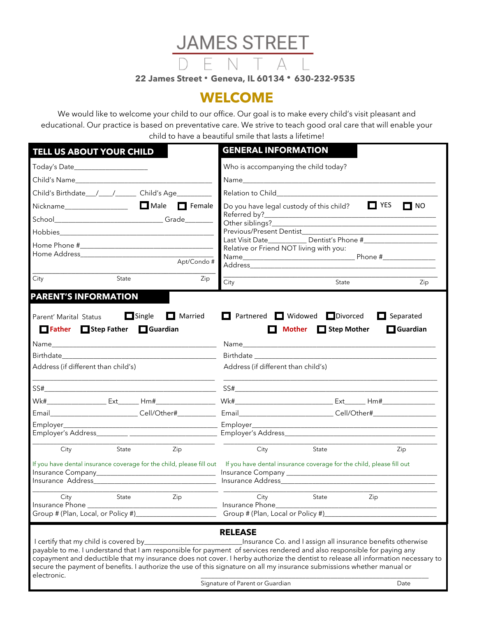

## **WELCOME**

We would like to welcome your child to our office. Our goal is to make every child's visit pleasant and educational. Our practice is based on preventative care. We strive to teach good oral care that will enable your child to have a beautiful smile that lasts a lifetime!

| TELL US ABOUT YOUR CHILD                                                                                                                                                                                                                                                                                                                                                                                                                       | <b>GENERAL INFORMATION</b>                                                                                                     |                                                                                                                                                                                                                                      |                                                             |  |  |
|------------------------------------------------------------------------------------------------------------------------------------------------------------------------------------------------------------------------------------------------------------------------------------------------------------------------------------------------------------------------------------------------------------------------------------------------|--------------------------------------------------------------------------------------------------------------------------------|--------------------------------------------------------------------------------------------------------------------------------------------------------------------------------------------------------------------------------------|-------------------------------------------------------------|--|--|
| Today's Date_______________________                                                                                                                                                                                                                                                                                                                                                                                                            | Who is accompanying the child today?                                                                                           |                                                                                                                                                                                                                                      |                                                             |  |  |
|                                                                                                                                                                                                                                                                                                                                                                                                                                                |                                                                                                                                |                                                                                                                                                                                                                                      |                                                             |  |  |
|                                                                                                                                                                                                                                                                                                                                                                                                                                                | Relation to Child <b>Exercise 2018</b>                                                                                         |                                                                                                                                                                                                                                      |                                                             |  |  |
|                                                                                                                                                                                                                                                                                                                                                                                                                                                | $\Box$ YES<br>$\Box$ NO<br>Do you have legal custody of this child?                                                            |                                                                                                                                                                                                                                      |                                                             |  |  |
|                                                                                                                                                                                                                                                                                                                                                                                                                                                |                                                                                                                                |                                                                                                                                                                                                                                      |                                                             |  |  |
|                                                                                                                                                                                                                                                                                                                                                                                                                                                | Relative or Friend NOT living with you:                                                                                        |                                                                                                                                                                                                                                      |                                                             |  |  |
| Apt/Condo#                                                                                                                                                                                                                                                                                                                                                                                                                                     |                                                                                                                                |                                                                                                                                                                                                                                      |                                                             |  |  |
| City<br>State<br>Zip                                                                                                                                                                                                                                                                                                                                                                                                                           | <u> 1989 - Jan James James Jan James James Jan James James Jan James James Jan Jan Jan James Jan Jan Jan Jan Jan J</u><br>City | State                                                                                                                                                                                                                                | Zip                                                         |  |  |
| <b>PARENT'S INFORMATION</b>                                                                                                                                                                                                                                                                                                                                                                                                                    |                                                                                                                                |                                                                                                                                                                                                                                      |                                                             |  |  |
| $\Box$ Single<br>$\Box$ Married<br>Parent' Marital Status<br>Father Step Father Guardian                                                                                                                                                                                                                                                                                                                                                       | Partnered Widowed Divorced<br>П                                                                                                | Mother <b>Step Mother</b>                                                                                                                                                                                                            | $\Box$ Separated<br>Guardian                                |  |  |
|                                                                                                                                                                                                                                                                                                                                                                                                                                                |                                                                                                                                |                                                                                                                                                                                                                                      |                                                             |  |  |
| Birthdate and the state of the state of the state of the state of the state of the state of the state of the state of the state of the state of the state of the state of the state of the state of the state of the state of                                                                                                                                                                                                                  |                                                                                                                                | Birthdate <b>Executive Structure and Structure Structure Structure Structure Structure Structure Structure Structure Structure Structure Structure Structure Structure Structure Structure Structure Structure Structure Structu</b> |                                                             |  |  |
| Address (if different than child's)                                                                                                                                                                                                                                                                                                                                                                                                            | Address (if different than child's)                                                                                            |                                                                                                                                                                                                                                      |                                                             |  |  |
| the control of the control of the control of the control of<br>$SS# \_\_\_\_\_\_\_ \$                                                                                                                                                                                                                                                                                                                                                          | $SS# \underbrace{\qquad \qquad }$                                                                                              |                                                                                                                                                                                                                                      |                                                             |  |  |
|                                                                                                                                                                                                                                                                                                                                                                                                                                                |                                                                                                                                |                                                                                                                                                                                                                                      |                                                             |  |  |
| Email                                                                                                                                                                                                                                                                                                                                                                                                                                          |                                                                                                                                |                                                                                                                                                                                                                                      |                                                             |  |  |
|                                                                                                                                                                                                                                                                                                                                                                                                                                                |                                                                                                                                |                                                                                                                                                                                                                                      |                                                             |  |  |
| City<br><b>State State</b><br>Zip                                                                                                                                                                                                                                                                                                                                                                                                              | City                                                                                                                           | State                                                                                                                                                                                                                                | Zip                                                         |  |  |
| If you have dental insurance coverage for the child, please fill out If you have dental insurance coverage for the child, please fill out<br>Insurance Address and the contract of the contract of the contract of the contract of the contract of the contract of the contract of the contract of the contract of the contract of the contract of the contract of the cont                                                                    |                                                                                                                                |                                                                                                                                                                                                                                      |                                                             |  |  |
| City State Zip                                                                                                                                                                                                                                                                                                                                                                                                                                 | City State Zip                                                                                                                 |                                                                                                                                                                                                                                      |                                                             |  |  |
| Insurance Phone _____<br>Group # (Plan, Local, or Policy #)                                                                                                                                                                                                                                                                                                                                                                                    | Insurance Phone<br>Group # (Plan, Local or Policy #)                                                                           |                                                                                                                                                                                                                                      |                                                             |  |  |
| I certify that my child is covered by_<br>payable to me. I understand that I am responsible for payment of services rendered and also responsible for paying any<br>copayment and deductible that my insurance does not cover. I herby authorize the dentist to release all information necessary to<br>secure the payment of benefits. I authorize the use of this signature on all my insurance submissions whether manual or<br>electronic. | <b>RELEASE</b>                                                                                                                 |                                                                                                                                                                                                                                      | Insurance Co. and I assign all insurance benefits otherwise |  |  |
|                                                                                                                                                                                                                                                                                                                                                                                                                                                | Signature of Parent or Guardian                                                                                                |                                                                                                                                                                                                                                      | Date                                                        |  |  |